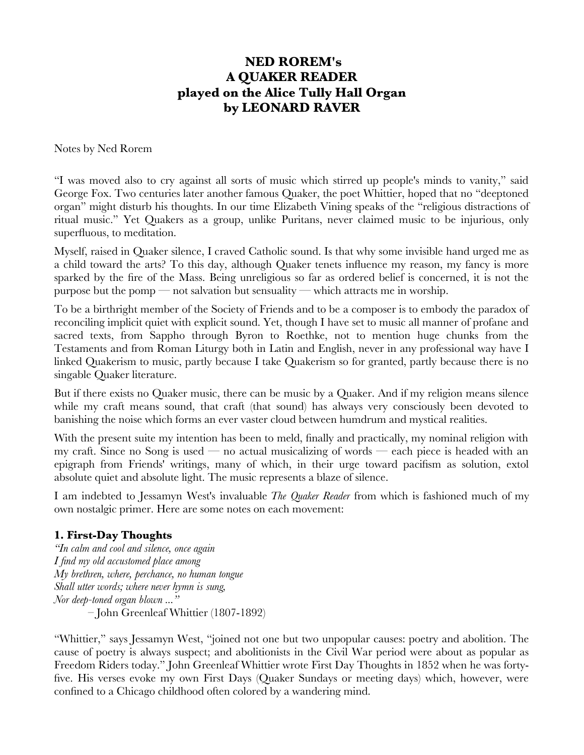# **NED ROREM's A QUAKER READER played on the Alice Tully Hall Organ by LEONARD RAVER**

Notes by Ned Rorem

"I was moved also to cry against all sorts of music which stirred up people's minds to vanity," said George Fox. Two centuries later another famous Quaker, the poet Whittier, hoped that no "deeptoned organ" might disturb his thoughts. In our time Elizabeth Vining speaks of the "religious distractions of ritual music." Yet Quakers as a group, unlike Puritans, never claimed music to be injurious, only superfuous, to meditation.

Myself, raised in Quaker silence, I craved Catholic sound. Is that why some invisible hand urged me as a child toward the arts? To this day, although Quaker tenets infuence my reason, my fancy is more sparked by the fre of the Mass. Being unreligious so far as ordered belief is concerned, it is not the purpose but the pomp — not salvation but sensuality — which attracts me in worship.

To be a birthright member of the Society of Friends and to be a composer is to embody the paradox of reconciling implicit quiet with explicit sound. Yet, though I have set to music all manner of profane and sacred texts, from Sappho through Byron to Roethke, not to mention huge chunks from the Testaments and from Roman Liturgy both in Latin and English, never in any professional way have I linked Quakerism to music, partly because I take Quakerism so for granted, partly because there is no singable Quaker literature.

But if there exists no Quaker music, there can be music by a Quaker. And if my religion means silence while my craft means sound, that craft (that sound) has always very consciously been devoted to banishing the noise which forms an ever vaster cloud between humdrum and mystical realities.

With the present suite my intention has been to meld, fnally and practically, my nominal religion with my craft. Since no Song is used — no actual musicalizing of words — each piece is headed with an epigraph from Friends' writings, many of which, in their urge toward pacifsm as solution, extol absolute quiet and absolute light. The music represents a blaze of silence.

I am indebted to Jessamyn West's invaluable *The Quaker Reader* from which is fashioned much of my own nostalgic primer. Here are some notes on each movement:

# **1. First-Day Thoughts**

*"In calm and cool and silence, once again I fnd my old accustomed place among My brethren, where, perchance, no human tongue Shall utter words; where never hymn is sung, Nor deep-toned organ blown ..."* – John Greenleaf Whittier (1807-1892)

"Whittier," says Jessamyn West, "joined not one but two unpopular causes: poetry and abolition. The cause of poetry is always suspect; and abolitionists in the Civil War period were about as popular as Freedom Riders today." John Greenleaf Whittier wrote First Day Thoughts in 1852 when he was fortyfve. His verses evoke my own First Days (Quaker Sundays or meeting days) which, however, were confned to a Chicago childhood often colored by a wandering mind.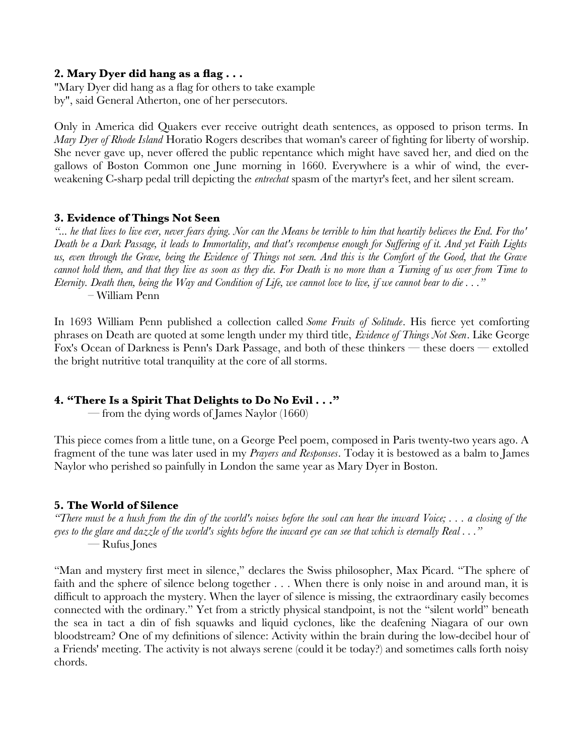## **2. Mary Dyer did hang as a fag . . .**

"Mary Dyer did hang as a flag for others to take example by", said General Atherton, one of her persecutors.

Only in America did Quakers ever receive outright death sentences, as opposed to prison terms. In *Mary Dyer of Rhode Island* Horatio Rogers describes that woman's career of fghting for liberty of worship. She never gave up, never offered the public repentance which might have saved her, and died on the gallows of Boston Common one June morning in 1660. Everywhere is a whir of wind, the everweakening C-sharp pedal trill depicting the *entrechat* spasm of the martyr's feet, and her silent scream.

## **3. Evidence of Things Not Seen**

*"... he that lives to live ever, never fears dying. Nor can the Means be terrible to him that heartily believes the End. For tho' Death be a Dark Passage, it leads to Immortality, and that's recompense enough for Suffering of it. And yet Faith Lights us, even through the Grave, being the Evidence of Things not seen. And this is the Comfort of the Good, that the Grave cannot hold them, and that they live as soon as they die. For Death is no more than a Turning of us over from Time to Eternity. Death then, being the Way and Condition of Life, we cannot love to live, if we cannot bear to die . . ."* – William Penn

In 1693 William Penn published a collection called *Some Fruits of Solitude*. His ferce yet comforting phrases on Death are quoted at some length under my third title, *Evidence of Things Not Seen*. Like George Fox's Ocean of Darkness is Penn's Dark Passage, and both of these thinkers — these doers — extolled the bright nutritive total tranquility at the core of all storms.

# **4. "There Is a Spirit That Delights to Do No Evil . . ."**

— from the dying words of James Naylor (1660)

This piece comes from a little tune, on a George Peel poem, composed in Paris twenty-two years ago. A fragment of the tune was later used in my *Prayers and Responses*. Today it is bestowed as a balm to James Naylor who perished so painfully in London the same year as Mary Dyer in Boston.

# **5. The World of Silence**

*"There must be a hush from the din of the world's noises before the soul can hear the inward Voice; . . . a closing of the eyes to the glare and dazzle of the world's sights before the inward eye can see that which is eternally Real . . ."* — Rufus Jones

"Man and mystery frst meet in silence," declares the Swiss philosopher, Max Picard. "The sphere of faith and the sphere of silence belong together . . . When there is only noise in and around man, it is diffcult to approach the mystery. When the layer of silence is missing, the extraordinary easily becomes connected with the ordinary." Yet from a strictly physical standpoint, is not the "silent world" beneath the sea in tact a din of fsh squawks and liquid cyclones, like the deafening Niagara of our own bloodstream? One of my defnitions of silence: Activity within the brain during the low-decibel hour of a Friends' meeting. The activity is not always serene (could it be today?) and sometimes calls forth noisy chords.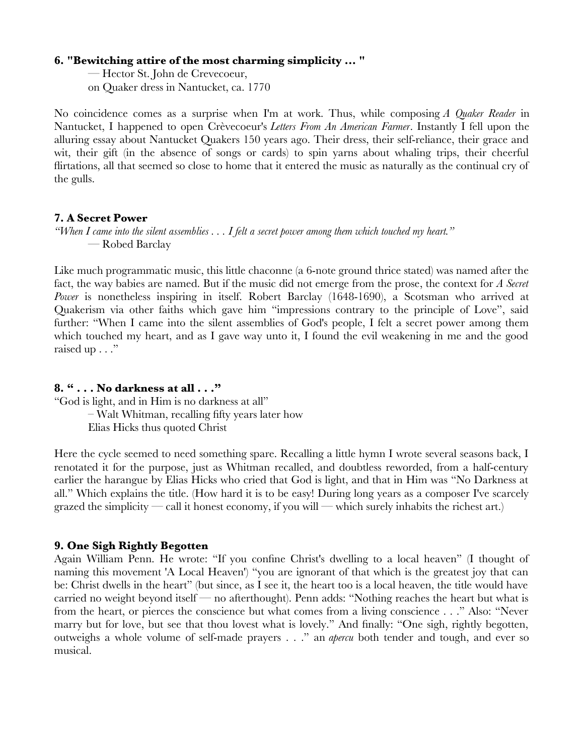#### **6. "Bewitching attire of the most charming simplicity ... "**

— Hector St. John de Crevecoeur, on Quaker dress in Nantucket, ca. 1770

No coincidence comes as a surprise when I'm at work. Thus, while composing *A Quaker Reader* in Nantucket, I happened to open Crèvecoeur's *Letters From An American Farmer*. Instantly I fell upon the alluring essay about Nantucket Quakers 150 years ago. Their dress, their self-reliance, their grace and wit, their gift (in the absence of songs or cards) to spin yarns about whaling trips, their cheerful firtations, all that seemed so close to home that it entered the music as naturally as the continual cry of the gulls.

#### **7. A Secret Power**

*"When I came into the silent assemblies . . . I felt a secret power among them which touched my heart."* — Robed Barclay

Like much programmatic music, this little chaconne (a 6-note ground thrice stated) was named after the fact, the way babies are named. But if the music did not emerge from the prose, the context for *A Secret Power* is nonetheless inspiring in itself. Robert Barclay (1648-1690), a Scotsman who arrived at Quakerism via other faiths which gave him "impressions contrary to the principle of Love", said further: "When I came into the silent assemblies of God's people, I felt a secret power among them which touched my heart, and as I gave way unto it, I found the evil weakening in me and the good raised up . . ."

#### **8. " . . . No darkness at all . . ."**

"God is light, and in Him is no darkness at all" – Walt Whitman, recalling ffty years later how Elias Hicks thus quoted Christ

Here the cycle seemed to need something spare. Recalling a little hymn I wrote several seasons back, I renotated it for the purpose, just as Whitman recalled, and doubtless reworded, from a half-century earlier the harangue by Elias Hicks who cried that God is light, and that in Him was "No Darkness at all." Which explains the title. (How hard it is to be easy! During long years as a composer I've scarcely grazed the simplicity — call it honest economy, if you will — which surely inhabits the richest art.)

#### **9. One Sigh Rightly Begotten**

Again William Penn. He wrote: "If you confne Christ's dwelling to a local heaven" (I thought of naming this movement 'A Local Heaven') "you are ignorant of that which is the greatest joy that can be: Christ dwells in the heart" (but since, as I see it, the heart too is a local heaven, the title would have carried no weight beyond itself — no afterthought). Penn adds: "Nothing reaches the heart but what is from the heart, or pierces the conscience but what comes from a living conscience . . ." Also: "Never marry but for love, but see that thou lovest what is lovely." And fnally: "One sigh, rightly begotten, outweighs a whole volume of self-made prayers . . ." an *apercu* both tender and tough, and ever so musical.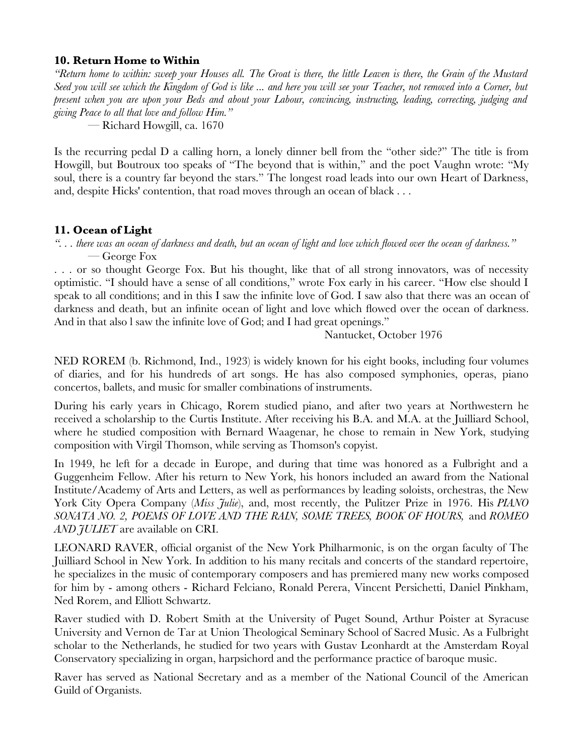#### **10. Return Home to Within**

*"Return home to within: sweep your Houses all. The Groat is there, the little Leaven is there, the Grain of the Mustard Seed you will see which the Kingdom of God is like ... and here you will see your Teacher, not removed into a Corner, but present when you are upon your Beds and about your Labour, convincing, instructing, leading, correcting, judging and giving Peace to all that love and follow Him."*

— Richard Howgill, ca. 1670

Is the recurring pedal D a calling horn, a lonely dinner bell from the "other side?" The title is from Howgill, but Boutroux too speaks of "The beyond that is within," and the poet Vaughn wrote: "My soul, there is a country far beyond the stars." The longest road leads into our own Heart of Darkness, and, despite Hicks' contention, that road moves through an ocean of black . . .

# **11. Ocean of Light**

*". . . there was an ocean of darkness and death, but an ocean of light and love which fowed over the ocean of darkness."* — George Fox

. . . or so thought George Fox. But his thought, like that of all strong innovators, was of necessity optimistic. "I should have a sense of all conditions," wrote Fox early in his career. "How else should I speak to all conditions; and in this I saw the infnite love of God. I saw also that there was an ocean of darkness and death, but an infnite ocean of light and love which fowed over the ocean of darkness. And in that also I saw the infinite love of God; and I had great openings."

Nantucket, October 1976

NED ROREM (b. Richmond, Ind., 1923) is widely known for his eight books, including four volumes of diaries, and for his hundreds of art songs. He has also composed symphonies, operas, piano concertos, ballets, and music for smaller combinations of instruments.

During his early years in Chicago, Rorem studied piano, and after two years at Northwestern he received a scholarship to the Curtis Institute. After receiving his B.A. and M.A. at the Juilliard School, where he studied composition with Bernard Waagenar, he chose to remain in New York, studying composition with Virgil Thomson, while serving as Thomson's copyist.

In 1949, he left for a decade in Europe, and during that time was honored as a Fulbright and a Guggenheim Fellow. After his return to New York, his honors included an award from the National Institute/Academy of Arts and Letters, as well as performances by leading soloists, orchestras, the New York City Opera Company (*Miss Julie*), and, most recently, the Pulitzer Prize in 1976. His *PIANO SONATA NO. 2, POEMS OF LOVE AND THE RAIN, SOME TREES, BOOK OF HOURS,* and *ROMEO AND JULIET* are available on CRI.

LEONARD RAVER, official organist of the New York Philharmonic, is on the organ faculty of The Juilliard School in New York. In addition to his many recitals and concerts of the standard repertoire, he specializes in the music of contemporary composers and has premiered many new works composed for him by - among others - Richard Felciano, Ronald Perera, Vincent Persichetti, Daniel Pinkham, Ned Rorem, and Elliott Schwartz.

Raver studied with D. Robert Smith at the University of Puget Sound, Arthur Poister at Syracuse University and Vernon de Tar at Union Theological Seminary School of Sacred Music. As a Fulbright scholar to the Netherlands, he studied for two years with Gustav Leonhardt at the Amsterdam Royal Conservatory specializing in organ, harpsichord and the performance practice of baroque music.

Raver has served as National Secretary and as a member of the National Council of the American Guild of Organists.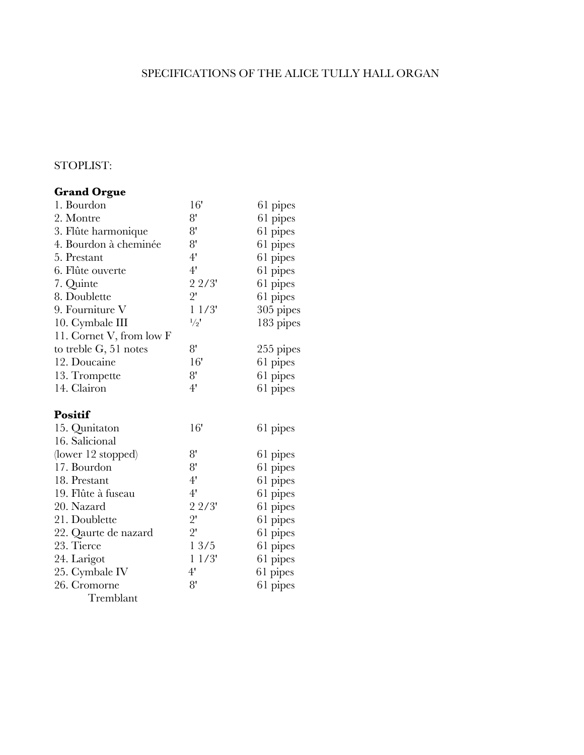# SPECIFICATIONS OF THE ALICE TULLY HALL ORGAN

# STOPLIST:

# **Grand Orgue**

| 1. Bourdon               | 16'           | 61 pipes  |
|--------------------------|---------------|-----------|
| 2. Montre                | 8'            | 61 pipes  |
| 3. Flûte harmonique      | 8'            | 61 pipes  |
| 4. Bourdon à cheminée    | 8'            | 61 pipes  |
| 5. Prestant              | 4'            | 61 pipes  |
| 6. Flûte ouverte         | 4'            | 61 pipes  |
| 7. Quinte                | 22/3'         | 61 pipes  |
| 8. Doublette             | $2^{\prime}$  | 61 pipes  |
| 9. Fourniture V          | 11/3'         | 305 pipes |
| 10. Cymbale III          | $\frac{1}{2}$ | 183 pipes |
| 11. Cornet V, from low F |               |           |
| to treble G, 51 notes    | 8'            | 255 pipes |
| 12. Doucaine             | 16'           | 61 pipes  |
| 13. Trompette            | 8'            | 61 pipes  |
| 14. Clairon              | 4'            | 61 pipes  |
| <b>Positif</b>           |               |           |
| 15. Qunitaton            | 16'           | 61 pipes  |
| 16. Salicional           |               |           |
| (lower 12 stopped)       | 8'            | 61 pipes  |
| 17. Bourdon              | 8'            | 61 pipes  |
| 18. Prestant             | 4'            | 61 pipes  |
| 19. Flûte à fuseau       | 4'            | 61 pipes  |
| 20. Nazard               | 22/3'         | 61 pipes  |
| 21. Doublette            | $2^{\prime}$  | 61 pipes  |
| 22. Qaurte de nazard     | $2^{\prime}$  | 61 pipes  |
| 23. Tierce               | $1\;3/5$      | 61 pipes  |
| 24. Larigot              | 11/3'         | 61 pipes  |
| 25. Cymbale IV           | 4'            | 61 pipes  |
| 26. Cromorne             | 8'            | 61 pipes  |
| Tremblant                |               |           |